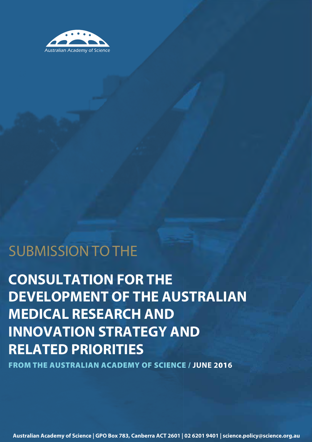

# SUBMISSION TO THE

**CONSULTATION FOR THE DEVELOPMENT OF THE AUSTRALIAN MEDICAL RESEARCH AND INNOVATION STRATEGY AND RELATED PRIORITIES**

**FROM THE AUSTRALIAN ACADEMY OF SCIENCE / JUNE 2016**

**Australian Academy of Science | GPO Box 783, Canberra ACT 2601 | 02 6201 9401 | science.policy@science.org.au**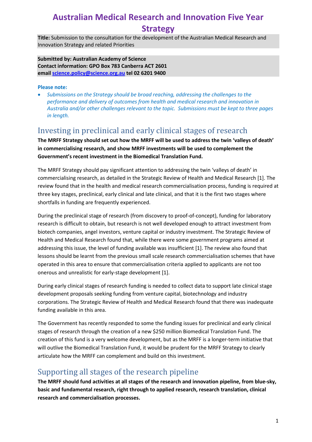## **Australian Medical Research and Innovation Five Year Strategy**

**Title:** Submission to the consultation for the development of the Australian Medical Research and Innovation Strategy and related Priorities

**Submitted by: Australian Academy of Science Contact information: GPO Box 783 Canberra ACT 2601 email [science.policy@science.org.au](mailto:science.policy@science.org.au) tel 02 6201 9400**

#### **Please note:**

• *Submissions on the Strategy should be broad reaching, addressing the challenges to the performance and delivery of outcomes from health and medical research and innovation in Australia and/or other challenges relevant to the topic. Submissions must be kept to three pages in length.*

#### Investing in preclinical and early clinical stages of research

**The MRFF Strategy should set out how the MRFF will be used to address the twin 'valleys of death' in commercialising research, and show MRFF investments will be used to complement the Government's recent investment in the Biomedical Translation Fund.**

The MRFF Strategy should pay significant attention to addressing the twin 'valleys of death' in commercialising research, as detailed in the Strategic Review of Health and Medical Research [1]. The review found that in the health and medical research commercialisation process, funding is required at three key stages, preclinical, early clinical and late clinical, and that it is the first two stages where shortfalls in funding are frequently experienced.

During the preclinical stage of research (from discovery to proof-of-concept), funding for laboratory research is difficult to obtain, but research is not well developed enough to attract investment from biotech companies, angel investors, venture capital or industry investment. The Strategic Review of Health and Medical Research found that, while there were some government programs aimed at addressing this issue, the level of funding available was insufficient [1]. The review also found that lessons should be learnt from the previous small scale research commercialisation schemes that have operated in this area to ensure that commercialisation criteria applied to applicants are not too onerous and unrealistic for early-stage development [1].

During early clinical stages of research funding is needed to collect data to support late clinical stage development proposals seeking funding from venture capital, biotechnology and industry corporations. The Strategic Review of Health and Medical Research found that there was inadequate funding available in this area.

The Government has recently responded to some the funding issues for preclinical and early clinical stages of research through the creation of a new \$250 million Biomedical Translation Fund. The creation of this fund is a very welcome development, but as the MRFF is a longer-term initiative that will outlive the Biomedical Translation Fund, it would be prudent for the MRFF Strategy to clearly articulate how the MRFF can complement and build on this investment.

#### Supporting all stages of the research pipeline

**The MRFF should fund activities at all stages of the research and innovation pipeline, from blue-sky, basic and fundamental research, right through to applied research, research translation, clinical research and commercialisation processes.**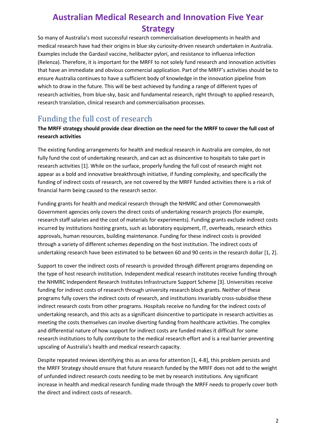# **Australian Medical Research and Innovation Five Year Strategy**

So many of Australia's most successful research commercialisation developments in health and medical research have had their origins in blue sky curiosity-driven research undertaken in Australia. Examples include the Gardasil vaccine, helibacter pylori, and resistance to influenza infection (Relenza). Therefore, it is important for the MRFF to not solely fund research and innovation activities that have an immediate and obvious commercial application. Part of the MRFF's activities should be to ensure Australia continues to have a sufficient body of knowledge in the innovation pipeline from which to draw in the future. This will be best achieved by funding a range of different types of research activities, from blue-sky, basic and fundamental research, right through to applied research, research translation, clinical research and commercialisation processes.

## Funding the full cost of research

#### **The MRFF strategy should provide clear direction on the need for the MRFF to cover the full cost of research activities**

The existing funding arrangements for health and medical research in Australia are complex, do not fully fund the cost of undertaking research, and can act as disincentive to hospitals to take part in research activities [1]. While on the surface, properly funding the full cost of research might not appear as a bold and innovative breakthrough initiative, if funding complexity, and specifically the funding of indirect costs of research, are not covered by the MRFF funded activities there is a risk of financial harm being caused to the research sector.

Funding grants for health and medical research through the NHMRC and other Commonwealth Government agencies only covers the direct costs of undertaking research projects (for example, research staff salaries and the cost of materials for experiments). Funding grants exclude indirect costs incurred by institutions hosting grants, such as laboratory equipment, IT, overheads, research ethics approvals, human resources, building maintenance. Funding for these indirect costs is provided through a variety of different schemes depending on the host institution. The indirect costs of undertaking research have been estimated to be between 60 and 90 cents in the research dollar [1, 2].

Support to cover the indirect costs of research is provided through different programs depending on the type of host research institution. Independent medical research institutes receive funding through the NHMRC Independent Research Institutes Infrastructure Support Scheme [3]. Universities receive funding for indirect costs of research through university research block grants. Neither of these programs fully covers the indirect costs of research, and institutions invariably cross-subsidise these indirect research costs from other programs. Hospitals receive no funding for the indirect costs of undertaking research, and this acts as a significant disincentive to participate in research activities as meeting the costs themselves can involve diverting funding from healthcare activities. The complex and differential nature of how support for indirect costs are funded makes it difficult for some research institutions to fully contribute to the medical research effort and is a real barrier preventing upscaling of Australia's health and medical research capacity.

Despite repeated reviews identifying this as an area for attention [1, 4-8], this problem persists and the MRFF Strategy should ensure that future research funded by the MRFF does not add to the weight of unfunded indirect research costs needing to be met by research institutions. Any significant increase in health and medical research funding made through the MRFF needs to properly cover both the direct and indirect costs of research.